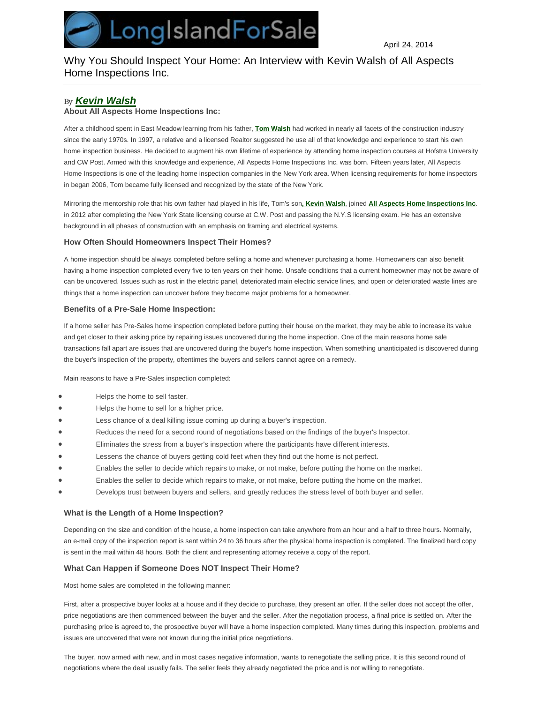# Why You Should Inspect Your Home: An Interview with Kevin Walsh of All Aspects Home Inspections Inc.

## *By [Kevin Walsh](http://www.longislandforsale.com/articles/experts/kevin-walsh)*

## **About All Aspects Home Inspections Inc:**

After a childhood spent in East Meadow learning from his father, **Tom Walsh** had worked in nearly all facets of the construction industry since the early 1970s. In 1997, a relative and a licensed Realtor suggested he use all of that knowledge and experience to start his own home inspection business. He decided to augment his own lifetime of experience by attending home inspection courses at Hofstra University and CW Post. Armed with this knowledge and experience, All Aspects Home Inspections Inc. was born. Fifteen years later, All Aspects Home Inspections is one of the leading home inspection companies in the New York area. When licensing requirements for home inspectors in began 2006, Tom became fully licensed and recognized by the state of the New York.

Mirroring the mentorship role that his own father had played in his life, Tom's son**, Kevin Walsh**, joined **All Aspects Home Inspections Inc**. in 2012 after completing the New York State licensing course at C.W. Post and passing the N.Y.S licensing exam. He has an extensive background in all phases of construction with an emphasis on framing and electrical systems.

## **How Often Should Homeowners Inspect Their Homes?**

A home inspection should be always completed before selling a home and whenever purchasing a home. Homeowners can also benefit having a home inspection completed every five to ten years on their home. Unsafe conditions that a current homeowner may not be aware of can be uncovered. Issues such as rust in the electric panel, deteriorated main electric service lines, and open or deteriorated waste lines are things that a home inspection can uncover before they become major problems for a homeowner.

## **Benefits of a Pre-Sale Home Inspection:**

If a home seller has Pre-Sales home inspection completed before putting their house on the market, they may be able to increase its value and get closer to their asking price by repairing issues uncovered during the home inspection. One of the main reasons home sale transactions fall apart are issues that are uncovered during the buyer's home inspection. When something unanticipated is discovered during the buyer's inspection of the property, oftentimes the buyers and sellers cannot agree on a remedy.

Main reasons to have a Pre-Sales inspection completed:

- Helps the home to sell faster.
- Helps the home to sell for a higher price.
- Less chance of a deal killing issue coming up during a buyer's inspection.
- Reduces the need for a second round of negotiations based on the findings of the buyer's Inspector.
- Eliminates the stress from a buyer's inspection where the participants have different interests.
- Lessens the chance of buyers getting cold feet when they find out the home is not perfect.
- Enables the seller to decide which repairs to make, or not make, before putting the home on the market.
- Enables the seller to decide which repairs to make, or not make, before putting the home on the market.
- Develops trust between buyers and sellers, and greatly reduces the stress level of both buyer and seller.

#### **What is the Length of a Home Inspection?**

Depending on the size and condition of the house, a home inspection can take anywhere from an hour and a half to three hours. Normally, an e-mail copy of the inspection report is sent within 24 to 36 hours after the physical home inspection is completed. The finalized hard copy is sent in the mail within 48 hours. Both the client and representing attorney receive a copy of the report.

## **What Can Happen if Someone Does NOT Inspect Their Home?**

Most home sales are completed in the following manner:

First, after a prospective buyer looks at a house and if they decide to purchase, they present an offer. If the seller does not accept the offer, price negotiations are then commenced between the buyer and the seller. After the negotiation process, a final price is settled on. After the purchasing price is agreed to, the prospective buyer will have a home inspection completed. Many times during this inspection, problems and issues are uncovered that were not known during the initial price negotiations.

The buyer, now armed with new, and in most cases negative information, wants to renegotiate the selling price. It is this second round of negotiations where the deal usually fails. The seller feels they already negotiated the price and is not willing to renegotiate.